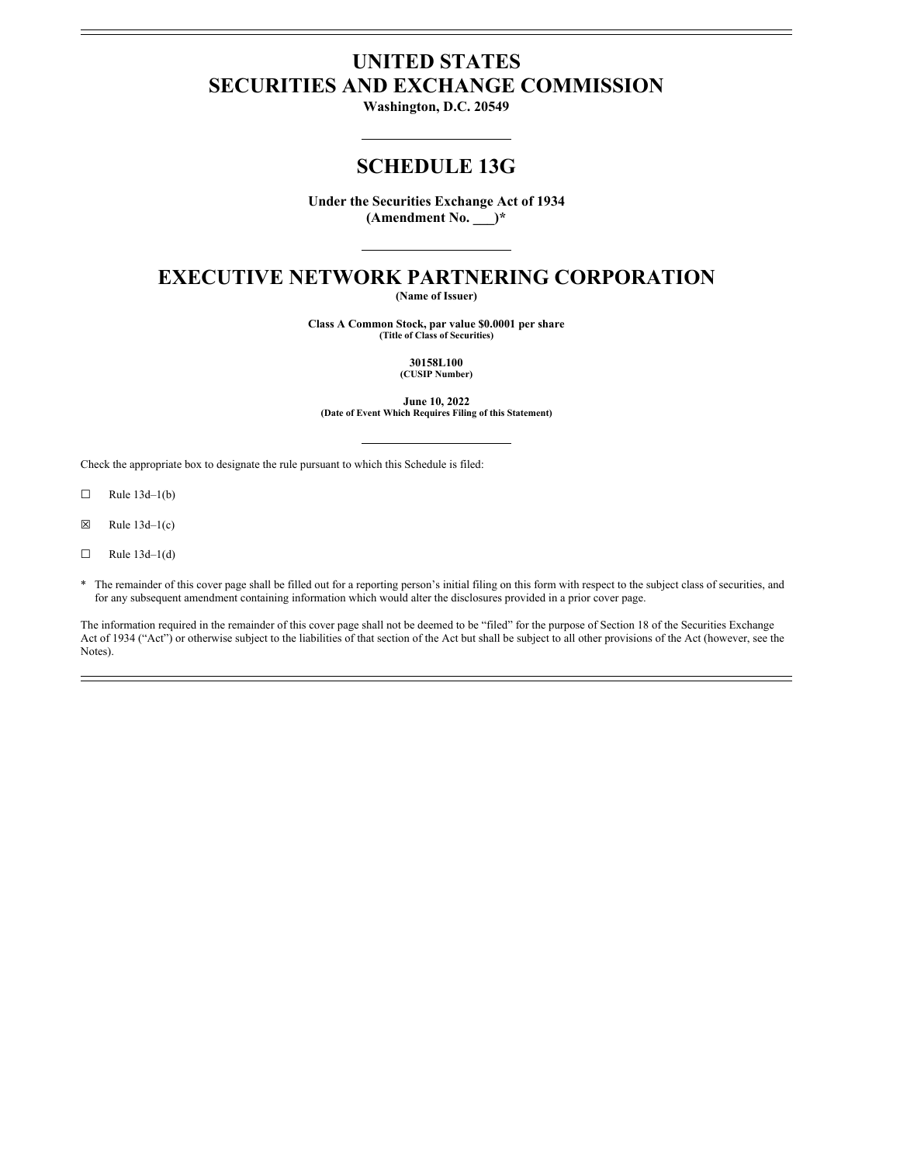# **UNITED STATES SECURITIES AND EXCHANGE COMMISSION**

**Washington, D.C. 20549**

# **SCHEDULE 13G**

**Under the Securities Exchange Act of 1934 (Amendment No. \_\_\_)\***

# **EXECUTIVE NETWORK PARTNERING CORPORATION**

**(Name of Issuer)**

**Class A Common Stock, par value \$0.0001 per share (Title of Class of Securities)**

> **30158L100 (CUSIP Number)**

**June 10, 2022 (Date of Event Which Requires Filing of this Statement)**

Check the appropriate box to designate the rule pursuant to which this Schedule is filed:

 $\Box$  Rule 13d–1(b)

 $\boxtimes$  Rule 13d–1(c)

 $\Box$  Rule 13d–1(d)

\* The remainder of this cover page shall be filled out for a reporting person's initial filing on this form with respect to the subject class of securities, and for any subsequent amendment containing information which would alter the disclosures provided in a prior cover page.

The information required in the remainder of this cover page shall not be deemed to be "filed" for the purpose of Section 18 of the Securities Exchange Act of 1934 ("Act") or otherwise subject to the liabilities of that section of the Act but shall be subject to all other provisions of the Act (however, see the Notes).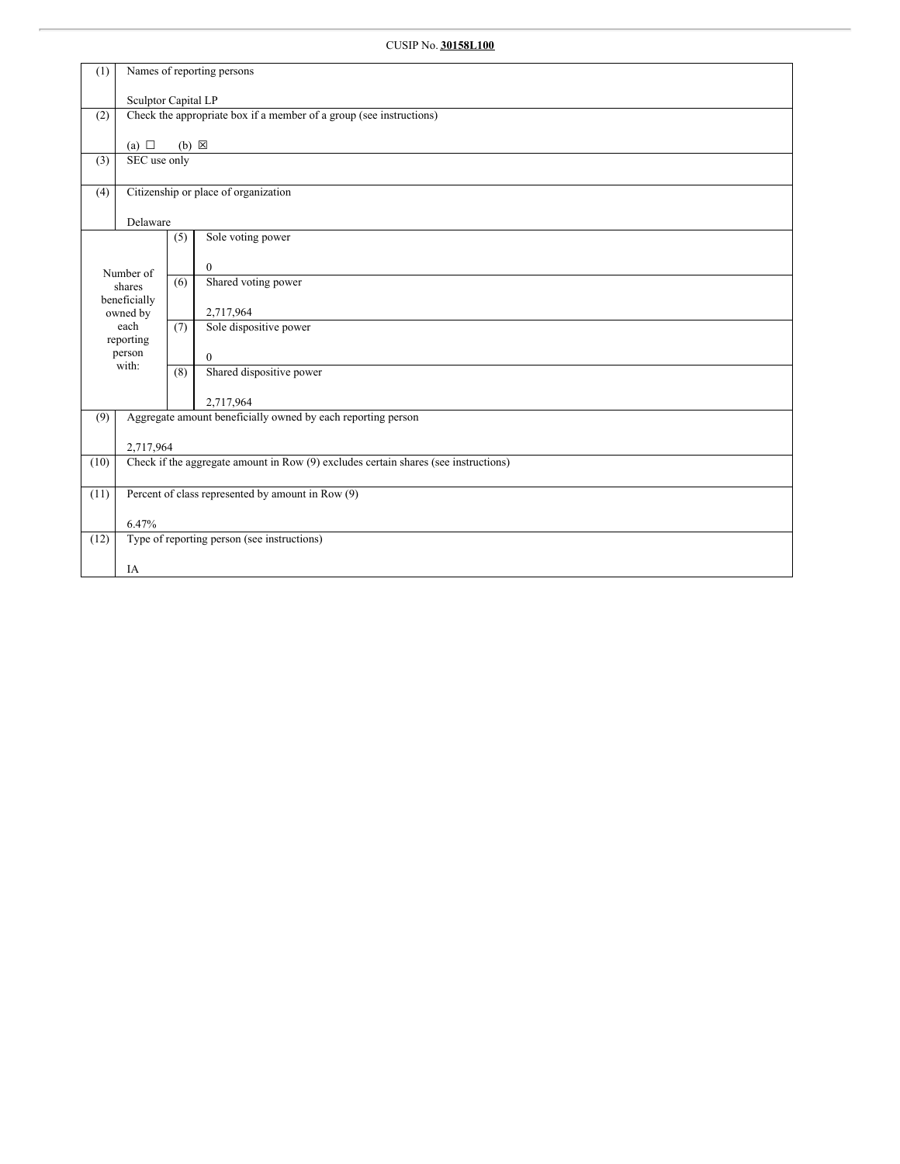| (1)  | Names of reporting persons                                                          |                                                                     |                                                              |  |  |  |  |  |
|------|-------------------------------------------------------------------------------------|---------------------------------------------------------------------|--------------------------------------------------------------|--|--|--|--|--|
|      |                                                                                     | Sculptor Capital LP                                                 |                                                              |  |  |  |  |  |
| (2)  |                                                                                     | Check the appropriate box if a member of a group (see instructions) |                                                              |  |  |  |  |  |
|      | (a) $\Box$                                                                          | $(b) \times$                                                        |                                                              |  |  |  |  |  |
| (3)  | SEC use only                                                                        |                                                                     |                                                              |  |  |  |  |  |
| (4)  |                                                                                     |                                                                     | Citizenship or place of organization                         |  |  |  |  |  |
|      | Delaware                                                                            |                                                                     |                                                              |  |  |  |  |  |
|      |                                                                                     | (5)                                                                 | Sole voting power                                            |  |  |  |  |  |
|      | Number of                                                                           |                                                                     | $\mathbf{0}$                                                 |  |  |  |  |  |
|      | shares                                                                              | (6)                                                                 | Shared voting power                                          |  |  |  |  |  |
|      | beneficially<br>owned by                                                            |                                                                     | 2,717,964                                                    |  |  |  |  |  |
|      | each<br>reporting                                                                   | (7)                                                                 | Sole dispositive power                                       |  |  |  |  |  |
|      | person<br>with:                                                                     |                                                                     | $\mathbf{0}$                                                 |  |  |  |  |  |
|      |                                                                                     | (8)                                                                 | Shared dispositive power                                     |  |  |  |  |  |
|      |                                                                                     |                                                                     | 2,717,964                                                    |  |  |  |  |  |
| (9)  |                                                                                     |                                                                     | Aggregate amount beneficially owned by each reporting person |  |  |  |  |  |
|      | 2,717,964                                                                           |                                                                     |                                                              |  |  |  |  |  |
| (10) | Check if the aggregate amount in Row (9) excludes certain shares (see instructions) |                                                                     |                                                              |  |  |  |  |  |
| (11) | Percent of class represented by amount in Row (9)                                   |                                                                     |                                                              |  |  |  |  |  |
|      | 6.47%                                                                               |                                                                     |                                                              |  |  |  |  |  |
| (12) |                                                                                     |                                                                     | Type of reporting person (see instructions)                  |  |  |  |  |  |
|      | IA                                                                                  |                                                                     |                                                              |  |  |  |  |  |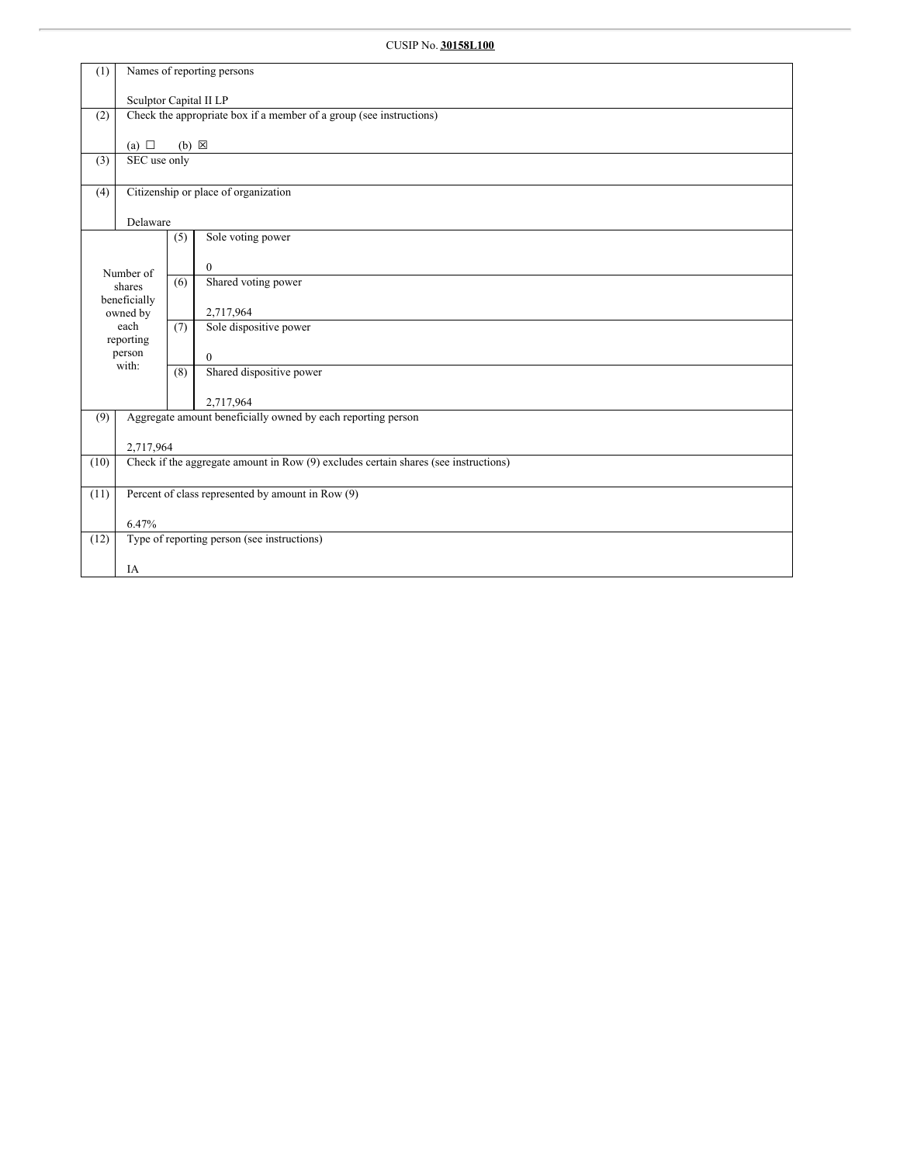| (1)  |                                                                                     | Names of reporting persons |                                                                     |  |  |  |  |  |
|------|-------------------------------------------------------------------------------------|----------------------------|---------------------------------------------------------------------|--|--|--|--|--|
|      |                                                                                     | Sculptor Capital II LP     |                                                                     |  |  |  |  |  |
| (2)  |                                                                                     |                            | Check the appropriate box if a member of a group (see instructions) |  |  |  |  |  |
|      | (a) $\Box$                                                                          | $(b) \boxtimes$            |                                                                     |  |  |  |  |  |
| (3)  | SEC use only                                                                        |                            |                                                                     |  |  |  |  |  |
| (4)  |                                                                                     |                            | Citizenship or place of organization                                |  |  |  |  |  |
|      | Delaware                                                                            |                            |                                                                     |  |  |  |  |  |
|      |                                                                                     | (5)                        | Sole voting power                                                   |  |  |  |  |  |
|      | Number of                                                                           |                            | $\mathbf{0}$                                                        |  |  |  |  |  |
|      | shares                                                                              | (6)                        | Shared voting power                                                 |  |  |  |  |  |
|      | beneficially<br>owned by                                                            |                            | 2,717,964                                                           |  |  |  |  |  |
|      | each<br>reporting                                                                   | (7)                        | Sole dispositive power                                              |  |  |  |  |  |
|      | person<br>with:                                                                     |                            | $\mathbf{0}$                                                        |  |  |  |  |  |
|      |                                                                                     | (8)                        | Shared dispositive power                                            |  |  |  |  |  |
|      |                                                                                     |                            | 2,717,964                                                           |  |  |  |  |  |
| (9)  |                                                                                     |                            | Aggregate amount beneficially owned by each reporting person        |  |  |  |  |  |
|      | 2,717,964                                                                           |                            |                                                                     |  |  |  |  |  |
| (10) | Check if the aggregate amount in Row (9) excludes certain shares (see instructions) |                            |                                                                     |  |  |  |  |  |
| (11) | Percent of class represented by amount in Row (9)                                   |                            |                                                                     |  |  |  |  |  |
|      | 6.47%                                                                               |                            |                                                                     |  |  |  |  |  |
| (12) |                                                                                     |                            | Type of reporting person (see instructions)                         |  |  |  |  |  |
|      | IA                                                                                  |                            |                                                                     |  |  |  |  |  |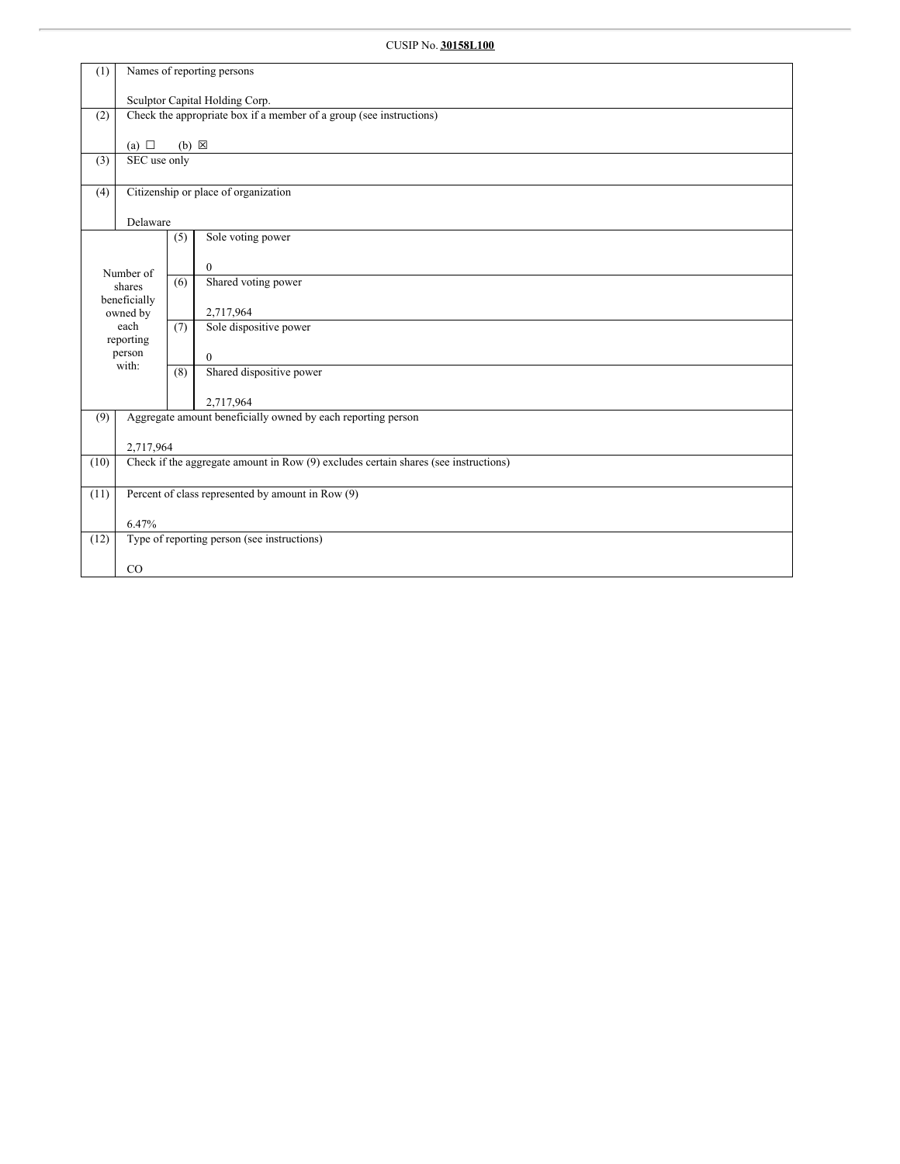| (1)  | Names of reporting persons                        |                                |                                                                                     |  |  |  |  |  |
|------|---------------------------------------------------|--------------------------------|-------------------------------------------------------------------------------------|--|--|--|--|--|
|      |                                                   | Sculptor Capital Holding Corp. |                                                                                     |  |  |  |  |  |
| (2)  |                                                   |                                | Check the appropriate box if a member of a group (see instructions)                 |  |  |  |  |  |
|      | (a) $\Box$                                        | $(b) \boxtimes$                |                                                                                     |  |  |  |  |  |
| (3)  | SEC use only                                      |                                |                                                                                     |  |  |  |  |  |
|      |                                                   |                                | Citizenship or place of organization                                                |  |  |  |  |  |
| (4)  |                                                   |                                |                                                                                     |  |  |  |  |  |
|      | Delaware                                          |                                |                                                                                     |  |  |  |  |  |
|      |                                                   | (5)                            | Sole voting power                                                                   |  |  |  |  |  |
|      | Number of                                         |                                | $\theta$                                                                            |  |  |  |  |  |
|      | shares                                            | (6)                            | Shared voting power                                                                 |  |  |  |  |  |
|      | beneficially<br>owned by                          |                                | 2,717,964                                                                           |  |  |  |  |  |
|      | each                                              | (7)                            | Sole dispositive power                                                              |  |  |  |  |  |
|      | reporting<br>person                               |                                | $\theta$                                                                            |  |  |  |  |  |
|      | with:                                             | (8)                            | Shared dispositive power                                                            |  |  |  |  |  |
|      |                                                   |                                | 2,717,964                                                                           |  |  |  |  |  |
| (9)  |                                                   |                                | Aggregate amount beneficially owned by each reporting person                        |  |  |  |  |  |
|      | 2,717,964                                         |                                |                                                                                     |  |  |  |  |  |
| (10) |                                                   |                                | Check if the aggregate amount in Row (9) excludes certain shares (see instructions) |  |  |  |  |  |
|      |                                                   |                                |                                                                                     |  |  |  |  |  |
| (11) | Percent of class represented by amount in Row (9) |                                |                                                                                     |  |  |  |  |  |
|      | 6.47%                                             |                                |                                                                                     |  |  |  |  |  |
| (12) |                                                   |                                | Type of reporting person (see instructions)                                         |  |  |  |  |  |
|      | CO                                                |                                |                                                                                     |  |  |  |  |  |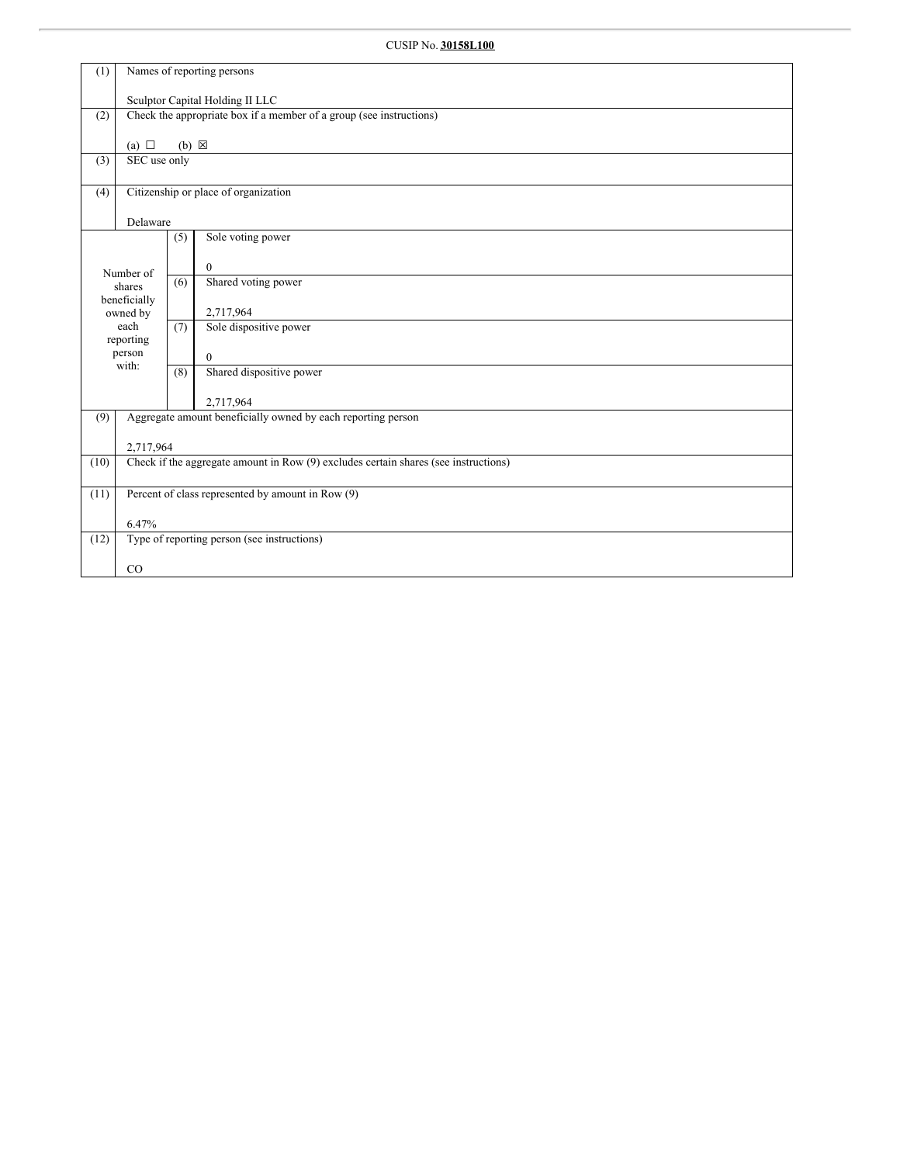| (1)  | Names of reporting persons |                                 |                                                                                     |  |  |  |  |  |
|------|----------------------------|---------------------------------|-------------------------------------------------------------------------------------|--|--|--|--|--|
|      |                            | Sculptor Capital Holding II LLC |                                                                                     |  |  |  |  |  |
| (2)  |                            |                                 | Check the appropriate box if a member of a group (see instructions)                 |  |  |  |  |  |
|      | (a) $\Box$                 | $(b) \boxtimes$                 |                                                                                     |  |  |  |  |  |
| (3)  | SEC use only               |                                 |                                                                                     |  |  |  |  |  |
|      |                            |                                 |                                                                                     |  |  |  |  |  |
| (4)  |                            |                                 | Citizenship or place of organization                                                |  |  |  |  |  |
|      | Delaware                   |                                 |                                                                                     |  |  |  |  |  |
|      |                            | (5)                             | Sole voting power                                                                   |  |  |  |  |  |
|      | Number of                  |                                 | $\theta$                                                                            |  |  |  |  |  |
|      | shares                     | (6)                             | Shared voting power                                                                 |  |  |  |  |  |
|      | beneficially<br>owned by   |                                 | 2,717,964                                                                           |  |  |  |  |  |
|      | each                       | (7)                             | Sole dispositive power                                                              |  |  |  |  |  |
|      | reporting<br>person        |                                 | $\theta$                                                                            |  |  |  |  |  |
|      | with:                      | (8)                             | Shared dispositive power                                                            |  |  |  |  |  |
|      |                            |                                 |                                                                                     |  |  |  |  |  |
| (9)  |                            |                                 | 2,717,964<br>Aggregate amount beneficially owned by each reporting person           |  |  |  |  |  |
|      |                            |                                 |                                                                                     |  |  |  |  |  |
| (10) | 2,717,964                  |                                 | Check if the aggregate amount in Row (9) excludes certain shares (see instructions) |  |  |  |  |  |
|      |                            |                                 |                                                                                     |  |  |  |  |  |
| (11) |                            |                                 | Percent of class represented by amount in Row (9)                                   |  |  |  |  |  |
|      | 6.47%                      |                                 |                                                                                     |  |  |  |  |  |
| (12) |                            |                                 | Type of reporting person (see instructions)                                         |  |  |  |  |  |
|      |                            |                                 |                                                                                     |  |  |  |  |  |
|      | CO                         |                                 |                                                                                     |  |  |  |  |  |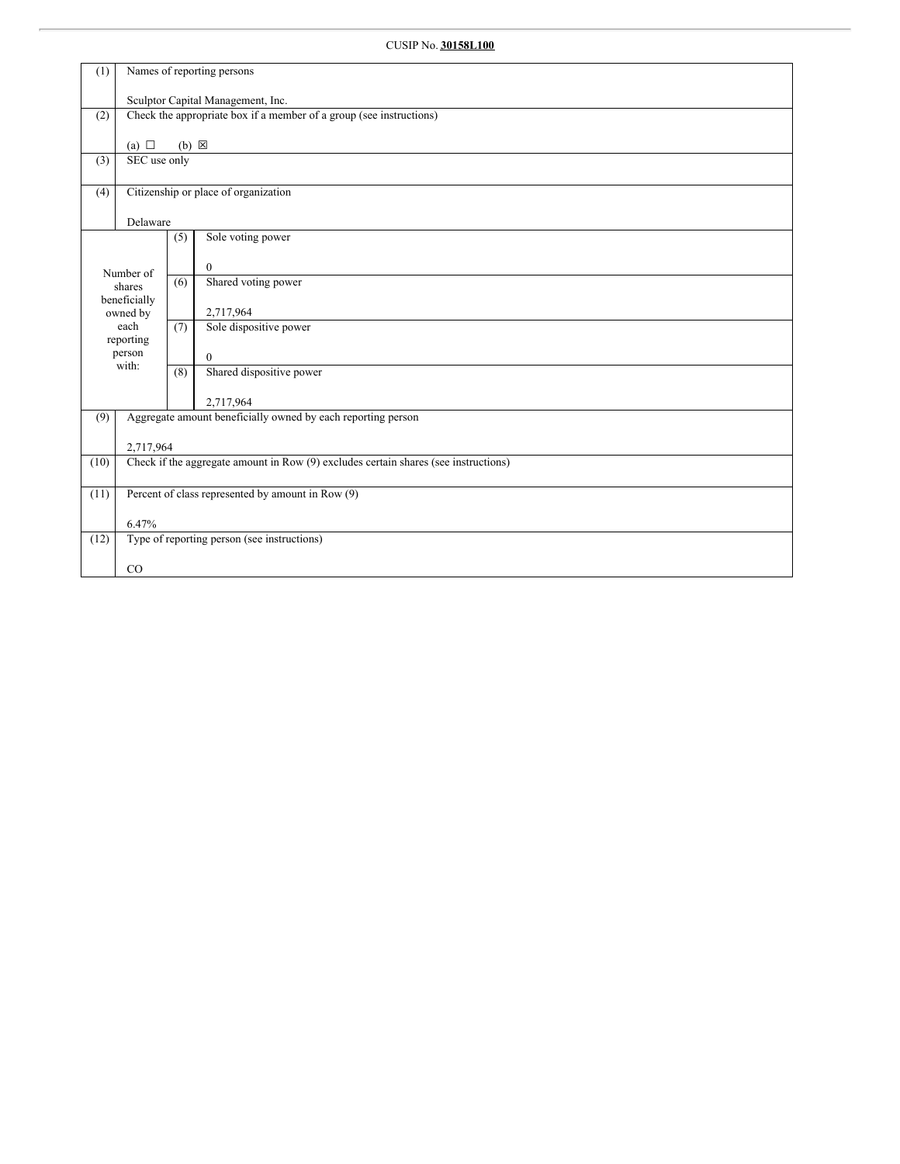| (1)  | Names of reporting persons                        |                                   |                                                                                     |  |  |  |  |
|------|---------------------------------------------------|-----------------------------------|-------------------------------------------------------------------------------------|--|--|--|--|
|      |                                                   | Sculptor Capital Management, Inc. |                                                                                     |  |  |  |  |
| (2)  |                                                   |                                   | Check the appropriate box if a member of a group (see instructions)                 |  |  |  |  |
|      | (a) $\Box$                                        | $(b) \boxtimes$                   |                                                                                     |  |  |  |  |
| (3)  | SEC use only                                      |                                   |                                                                                     |  |  |  |  |
|      |                                                   |                                   |                                                                                     |  |  |  |  |
| (4)  |                                                   |                                   | Citizenship or place of organization                                                |  |  |  |  |
|      | Delaware                                          |                                   |                                                                                     |  |  |  |  |
|      |                                                   | (5)                               | Sole voting power                                                                   |  |  |  |  |
|      |                                                   |                                   | $\theta$                                                                            |  |  |  |  |
|      | Number of<br>shares                               |                                   | Shared voting power                                                                 |  |  |  |  |
|      | beneficially<br>owned by                          |                                   | 2,717,964                                                                           |  |  |  |  |
|      | each                                              |                                   | Sole dispositive power                                                              |  |  |  |  |
|      | reporting<br>person                               |                                   | $\mathbf{0}$                                                                        |  |  |  |  |
|      | with:                                             | (8)                               | Shared dispositive power                                                            |  |  |  |  |
|      |                                                   |                                   | 2,717,964                                                                           |  |  |  |  |
| (9)  |                                                   |                                   | Aggregate amount beneficially owned by each reporting person                        |  |  |  |  |
|      |                                                   |                                   |                                                                                     |  |  |  |  |
| (10) | 2,717,964                                         |                                   | Check if the aggregate amount in Row (9) excludes certain shares (see instructions) |  |  |  |  |
|      |                                                   |                                   |                                                                                     |  |  |  |  |
| (11) | Percent of class represented by amount in Row (9) |                                   |                                                                                     |  |  |  |  |
|      | 6.47%                                             |                                   |                                                                                     |  |  |  |  |
| (12) |                                                   |                                   | Type of reporting person (see instructions)                                         |  |  |  |  |
|      | CO                                                |                                   |                                                                                     |  |  |  |  |
|      |                                                   |                                   |                                                                                     |  |  |  |  |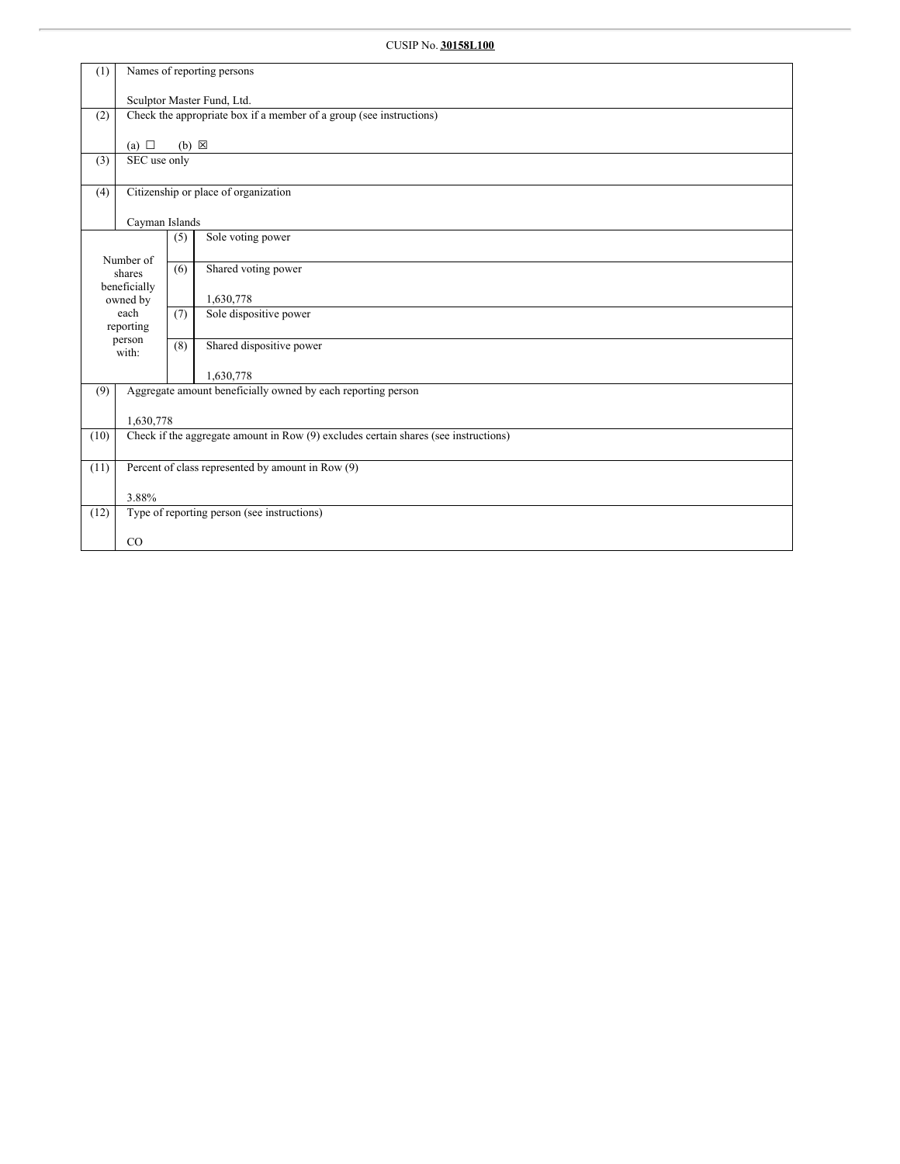| (1)  | Names of reporting persons                        |                            |                                                                                     |  |  |  |  |  |
|------|---------------------------------------------------|----------------------------|-------------------------------------------------------------------------------------|--|--|--|--|--|
|      |                                                   | Sculptor Master Fund, Ltd. |                                                                                     |  |  |  |  |  |
| (2)  |                                                   |                            | Check the appropriate box if a member of a group (see instructions)                 |  |  |  |  |  |
|      |                                                   |                            |                                                                                     |  |  |  |  |  |
|      | (a) $\Box$                                        | $(b) \boxtimes$            |                                                                                     |  |  |  |  |  |
| (3)  | SEC use only                                      |                            |                                                                                     |  |  |  |  |  |
| (4)  |                                                   |                            | Citizenship or place of organization                                                |  |  |  |  |  |
|      | Cayman Islands                                    |                            |                                                                                     |  |  |  |  |  |
|      |                                                   | (5)                        | Sole voting power                                                                   |  |  |  |  |  |
|      | Number of                                         |                            |                                                                                     |  |  |  |  |  |
|      | shares                                            | (6)                        | Shared voting power                                                                 |  |  |  |  |  |
|      | beneficially                                      |                            |                                                                                     |  |  |  |  |  |
|      | owned by<br>each                                  |                            | 1,630,778                                                                           |  |  |  |  |  |
|      | reporting                                         | (7)                        | Sole dispositive power                                                              |  |  |  |  |  |
|      | person<br>with:                                   | (8)                        | Shared dispositive power                                                            |  |  |  |  |  |
|      |                                                   |                            | 1,630,778                                                                           |  |  |  |  |  |
| (9)  |                                                   |                            | Aggregate amount beneficially owned by each reporting person                        |  |  |  |  |  |
|      | 1,630,778                                         |                            |                                                                                     |  |  |  |  |  |
| (10) |                                                   |                            | Check if the aggregate amount in Row (9) excludes certain shares (see instructions) |  |  |  |  |  |
|      |                                                   |                            |                                                                                     |  |  |  |  |  |
| (11) | Percent of class represented by amount in Row (9) |                            |                                                                                     |  |  |  |  |  |
|      | 3.88%                                             |                            |                                                                                     |  |  |  |  |  |
| (12) |                                                   |                            | Type of reporting person (see instructions)                                         |  |  |  |  |  |
|      |                                                   |                            |                                                                                     |  |  |  |  |  |
|      | CO                                                |                            |                                                                                     |  |  |  |  |  |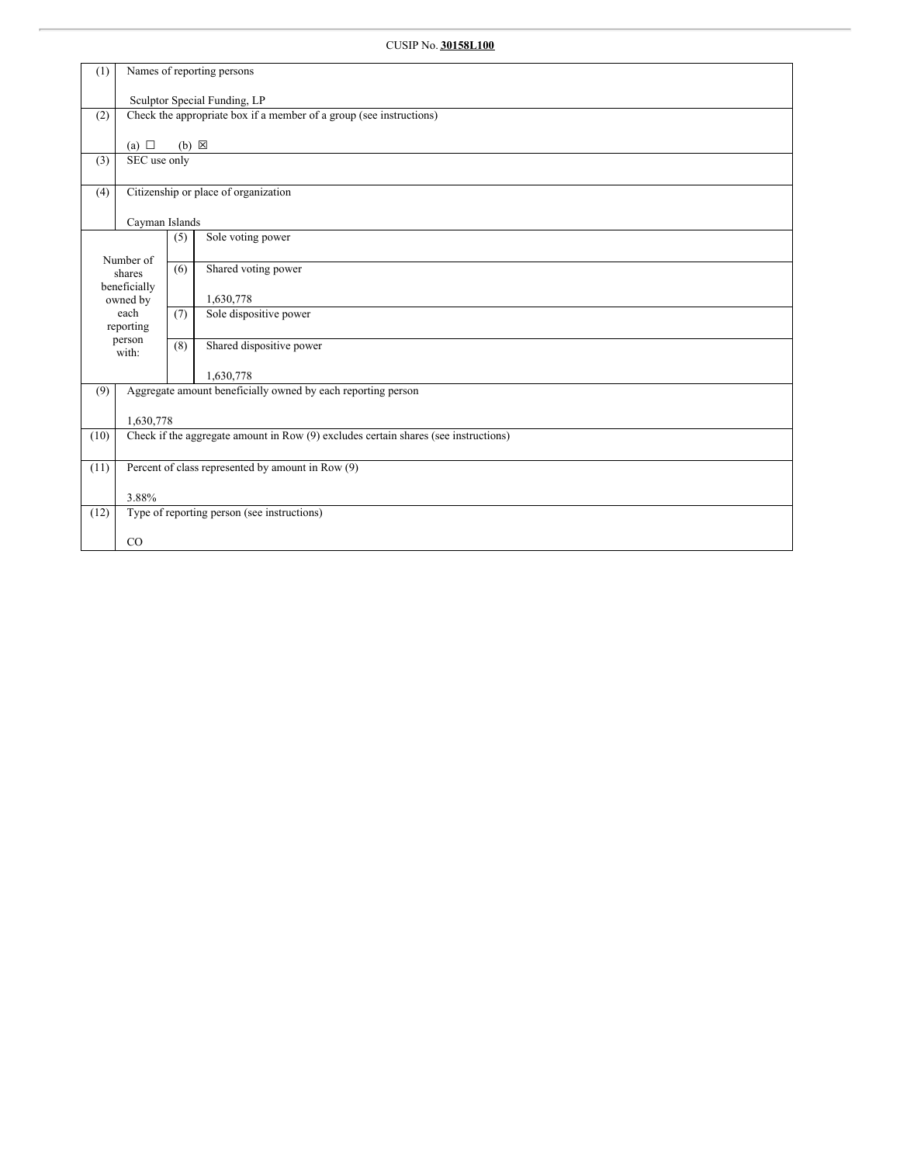| (1)  | Names of reporting persons                                                          |                              |                                                                     |  |  |  |  |  |
|------|-------------------------------------------------------------------------------------|------------------------------|---------------------------------------------------------------------|--|--|--|--|--|
|      |                                                                                     | Sculptor Special Funding, LP |                                                                     |  |  |  |  |  |
| (2)  |                                                                                     |                              | Check the appropriate box if a member of a group (see instructions) |  |  |  |  |  |
|      | (a) $\Box$                                                                          | $(b) \boxtimes$              |                                                                     |  |  |  |  |  |
| (3)  | SEC use only                                                                        |                              |                                                                     |  |  |  |  |  |
| (4)  |                                                                                     |                              | Citizenship or place of organization                                |  |  |  |  |  |
|      | Cayman Islands                                                                      |                              |                                                                     |  |  |  |  |  |
|      |                                                                                     | (5)                          | Sole voting power                                                   |  |  |  |  |  |
|      | Number of<br>shares<br>beneficially                                                 | (6)                          | Shared voting power                                                 |  |  |  |  |  |
|      | owned by                                                                            |                              | 1,630,778                                                           |  |  |  |  |  |
|      | each<br>reporting                                                                   | (7)                          | Sole dispositive power                                              |  |  |  |  |  |
|      | person<br>with:                                                                     | (8)                          | Shared dispositive power                                            |  |  |  |  |  |
|      |                                                                                     |                              | 1,630,778                                                           |  |  |  |  |  |
| (9)  |                                                                                     |                              | Aggregate amount beneficially owned by each reporting person        |  |  |  |  |  |
|      | 1,630,778                                                                           |                              |                                                                     |  |  |  |  |  |
| (10) | Check if the aggregate amount in Row (9) excludes certain shares (see instructions) |                              |                                                                     |  |  |  |  |  |
| (11) | Percent of class represented by amount in Row (9)                                   |                              |                                                                     |  |  |  |  |  |
|      | 3.88%                                                                               |                              |                                                                     |  |  |  |  |  |
| (12) |                                                                                     |                              | Type of reporting person (see instructions)                         |  |  |  |  |  |
|      | CO                                                                                  |                              |                                                                     |  |  |  |  |  |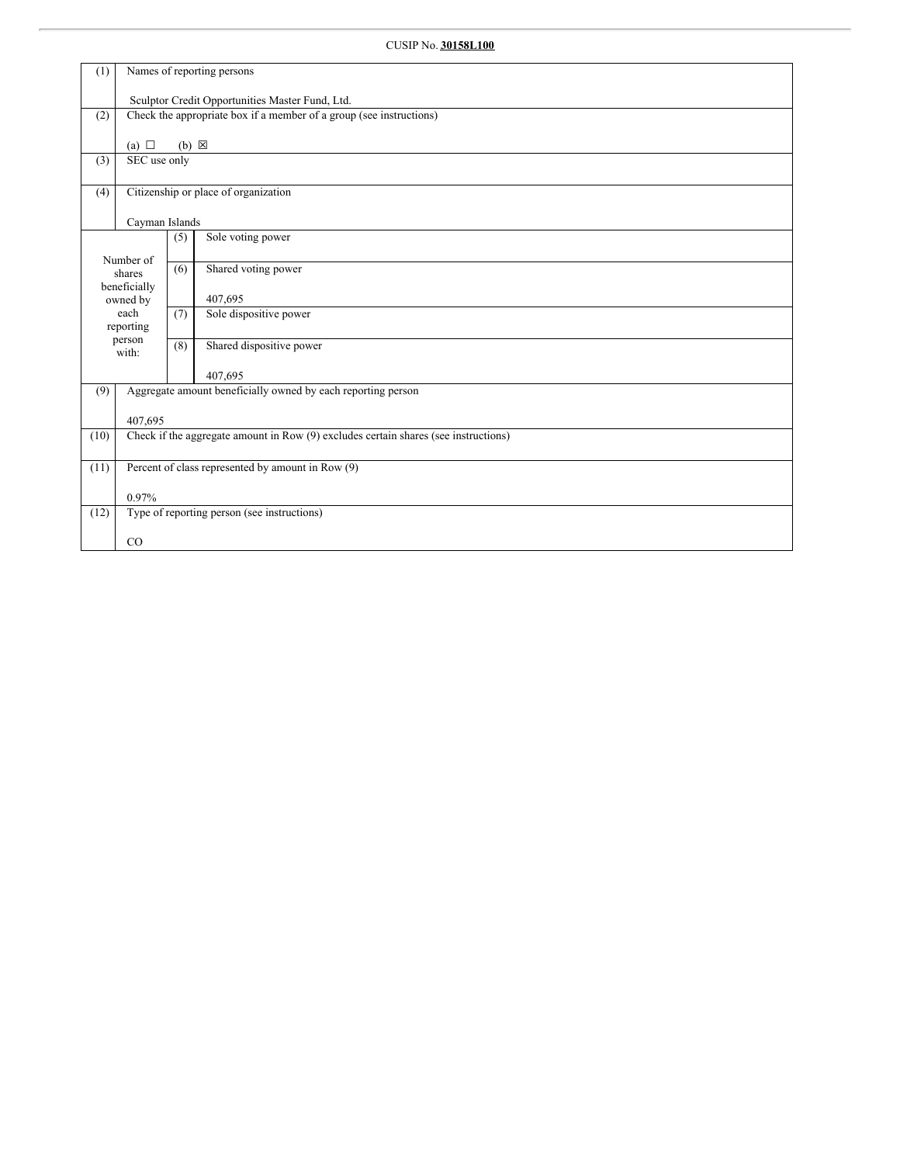# CUSIP No. **30158L100**

| (1)  | Names of reporting persons                                                          |                                                 |                                                                     |  |  |  |  |  |
|------|-------------------------------------------------------------------------------------|-------------------------------------------------|---------------------------------------------------------------------|--|--|--|--|--|
|      |                                                                                     | Sculptor Credit Opportunities Master Fund, Ltd. |                                                                     |  |  |  |  |  |
| (2)  |                                                                                     |                                                 | Check the appropriate box if a member of a group (see instructions) |  |  |  |  |  |
|      |                                                                                     |                                                 |                                                                     |  |  |  |  |  |
| (3)  | (a) $\Box$<br>SEC use only                                                          | $(b) \boxtimes$                                 |                                                                     |  |  |  |  |  |
|      |                                                                                     |                                                 |                                                                     |  |  |  |  |  |
| (4)  |                                                                                     |                                                 | Citizenship or place of organization                                |  |  |  |  |  |
|      | Cayman Islands                                                                      |                                                 |                                                                     |  |  |  |  |  |
|      |                                                                                     | (5)                                             | Sole voting power                                                   |  |  |  |  |  |
|      | Number of<br>shares                                                                 | (6)                                             | Shared voting power                                                 |  |  |  |  |  |
|      | beneficially                                                                        |                                                 |                                                                     |  |  |  |  |  |
|      | owned by<br>each                                                                    | (7)                                             | 407,695<br>Sole dispositive power                                   |  |  |  |  |  |
|      | reporting                                                                           |                                                 |                                                                     |  |  |  |  |  |
|      | person<br>with:                                                                     | (8)                                             | Shared dispositive power                                            |  |  |  |  |  |
|      |                                                                                     |                                                 | 407,695                                                             |  |  |  |  |  |
| (9)  |                                                                                     |                                                 | Aggregate amount beneficially owned by each reporting person        |  |  |  |  |  |
|      | 407,695                                                                             |                                                 |                                                                     |  |  |  |  |  |
| (10) | Check if the aggregate amount in Row (9) excludes certain shares (see instructions) |                                                 |                                                                     |  |  |  |  |  |
| (11) | Percent of class represented by amount in Row (9)                                   |                                                 |                                                                     |  |  |  |  |  |
|      | 0.97%                                                                               |                                                 |                                                                     |  |  |  |  |  |
| (12) |                                                                                     |                                                 | Type of reporting person (see instructions)                         |  |  |  |  |  |
|      | $_{\rm CO}$                                                                         |                                                 |                                                                     |  |  |  |  |  |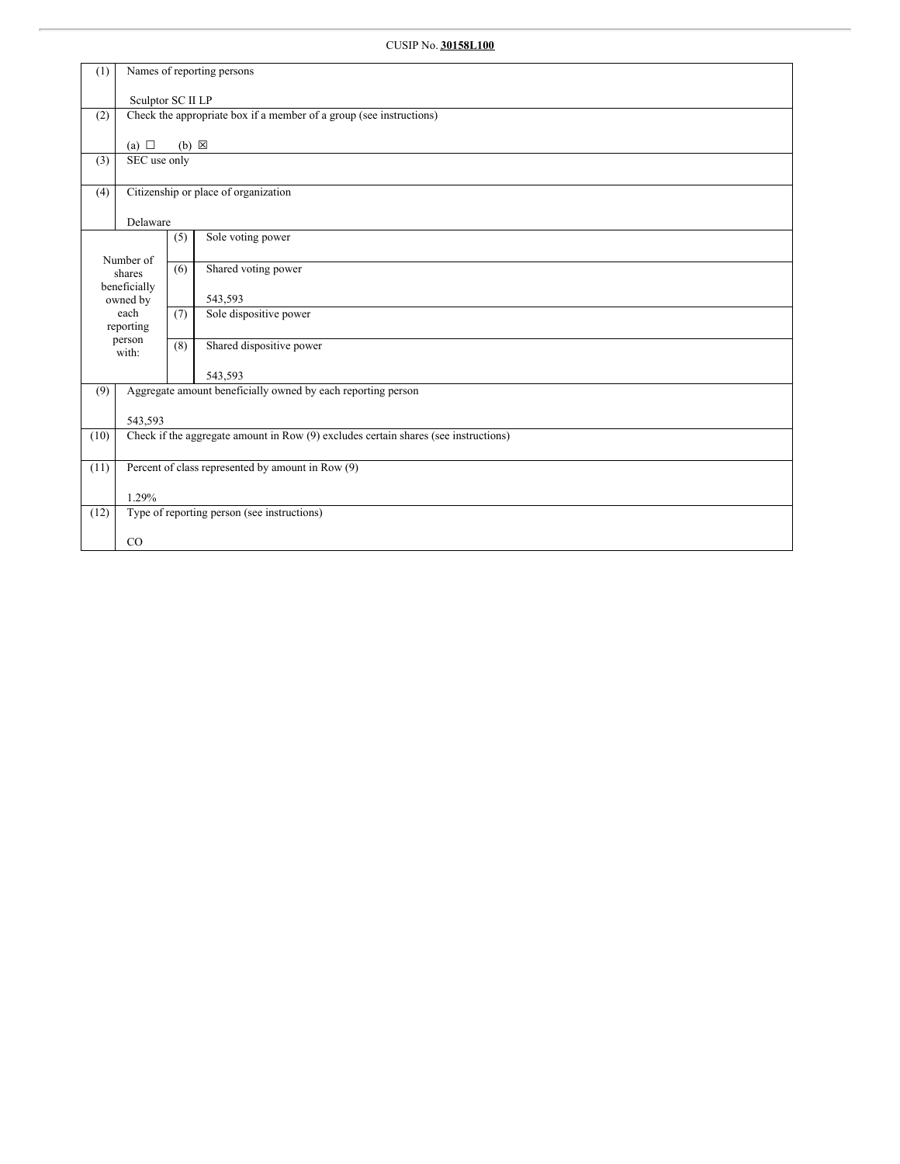| (1)  | Names of reporting persons                                                          |                   |                                                                     |  |  |  |  |  |
|------|-------------------------------------------------------------------------------------|-------------------|---------------------------------------------------------------------|--|--|--|--|--|
|      |                                                                                     | Sculptor SC II LP |                                                                     |  |  |  |  |  |
| (2)  |                                                                                     |                   | Check the appropriate box if a member of a group (see instructions) |  |  |  |  |  |
|      | (a) $\Box$                                                                          | $(b) \boxtimes$   |                                                                     |  |  |  |  |  |
| (3)  | SEC use only                                                                        |                   |                                                                     |  |  |  |  |  |
| (4)  |                                                                                     |                   | Citizenship or place of organization                                |  |  |  |  |  |
|      | Delaware                                                                            |                   |                                                                     |  |  |  |  |  |
|      |                                                                                     | (5)               | Sole voting power                                                   |  |  |  |  |  |
|      | Number of<br>shares                                                                 | (6)               | Shared voting power                                                 |  |  |  |  |  |
|      | beneficially                                                                        |                   |                                                                     |  |  |  |  |  |
|      | owned by<br>each                                                                    | (7)               | 543,593<br>Sole dispositive power                                   |  |  |  |  |  |
|      | reporting                                                                           |                   |                                                                     |  |  |  |  |  |
|      | person<br>with:                                                                     | (8)               | Shared dispositive power                                            |  |  |  |  |  |
|      |                                                                                     |                   | 543,593                                                             |  |  |  |  |  |
| (9)  |                                                                                     |                   |                                                                     |  |  |  |  |  |
|      | 543,593                                                                             |                   |                                                                     |  |  |  |  |  |
| (10) | Check if the aggregate amount in Row (9) excludes certain shares (see instructions) |                   |                                                                     |  |  |  |  |  |
| (11) | Percent of class represented by amount in Row (9)                                   |                   |                                                                     |  |  |  |  |  |
|      |                                                                                     |                   |                                                                     |  |  |  |  |  |
| (12) |                                                                                     |                   | Type of reporting person (see instructions)                         |  |  |  |  |  |
|      |                                                                                     |                   |                                                                     |  |  |  |  |  |
|      | 1.29%<br>CO                                                                         |                   | Aggregate amount beneficially owned by each reporting person        |  |  |  |  |  |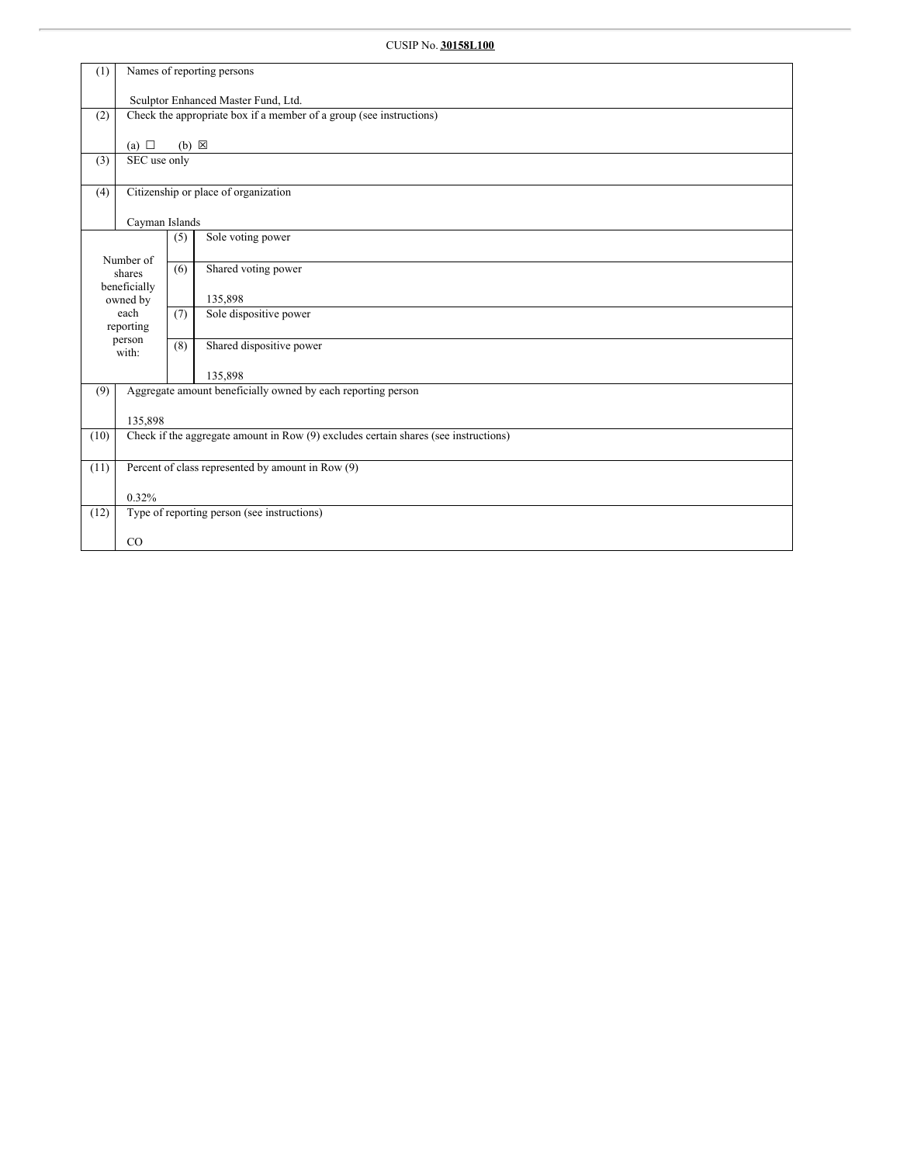| (1)  | Names of reporting persons                                                          |                 |                                                                     |  |  |  |  |  |
|------|-------------------------------------------------------------------------------------|-----------------|---------------------------------------------------------------------|--|--|--|--|--|
|      | Sculptor Enhanced Master Fund, Ltd.                                                 |                 |                                                                     |  |  |  |  |  |
| (2)  |                                                                                     |                 | Check the appropriate box if a member of a group (see instructions) |  |  |  |  |  |
|      |                                                                                     |                 |                                                                     |  |  |  |  |  |
|      | (a) $\Box$                                                                          | $(b) \boxtimes$ |                                                                     |  |  |  |  |  |
| (3)  | SEC use only                                                                        |                 |                                                                     |  |  |  |  |  |
| (4)  |                                                                                     |                 | Citizenship or place of organization                                |  |  |  |  |  |
|      | Cayman Islands                                                                      |                 |                                                                     |  |  |  |  |  |
|      |                                                                                     | (5)             | Sole voting power                                                   |  |  |  |  |  |
|      | Number of                                                                           |                 |                                                                     |  |  |  |  |  |
|      | shares                                                                              | (6)             | Shared voting power                                                 |  |  |  |  |  |
|      | beneficially                                                                        |                 | 135,898                                                             |  |  |  |  |  |
|      | owned by<br>each                                                                    | (7)             | Sole dispositive power                                              |  |  |  |  |  |
|      | reporting                                                                           |                 |                                                                     |  |  |  |  |  |
|      | person<br>with:                                                                     | (8)             | Shared dispositive power                                            |  |  |  |  |  |
|      |                                                                                     |                 | 135,898                                                             |  |  |  |  |  |
| (9)  |                                                                                     |                 | Aggregate amount beneficially owned by each reporting person        |  |  |  |  |  |
|      |                                                                                     |                 |                                                                     |  |  |  |  |  |
|      | 135,898                                                                             |                 |                                                                     |  |  |  |  |  |
| (10) | Check if the aggregate amount in Row (9) excludes certain shares (see instructions) |                 |                                                                     |  |  |  |  |  |
| (11) | Percent of class represented by amount in Row (9)                                   |                 |                                                                     |  |  |  |  |  |
|      | 0.32%                                                                               |                 |                                                                     |  |  |  |  |  |
| (12) |                                                                                     |                 | Type of reporting person (see instructions)                         |  |  |  |  |  |
|      |                                                                                     |                 |                                                                     |  |  |  |  |  |
|      | CO                                                                                  |                 |                                                                     |  |  |  |  |  |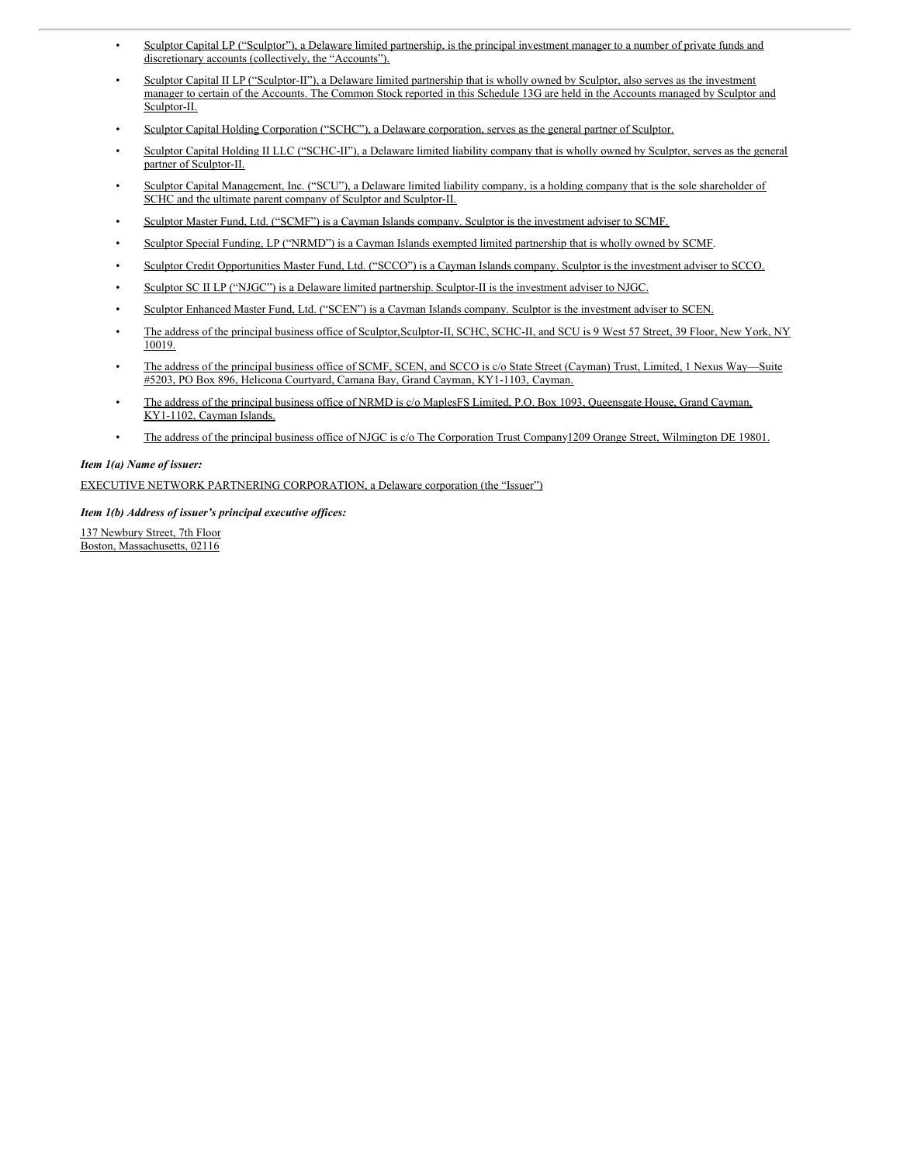- Sculptor Capital LP ("Sculptor"), a Delaware limited partnership, is the principal investment manager to a number of private funds and discretionary accounts (collectively, the "Accounts").
- Sculptor Capital II LP ("Sculptor-II"), a Delaware limited partnership that is wholly owned by Sculptor, also serves as the investment manager to certain of the Accounts. The Common Stock reported in this Schedule 13G are held in the Accounts managed by Sculptor and Sculptor-II.
- Sculptor Capital Holding Corporation ("SCHC"), a Delaware corporation, serves as the general partner of Sculptor.
- Sculptor Capital Holding II LLC ("SCHC-II"), a Delaware limited liability company that is wholly owned by Sculptor, serves as the general partner of Sculptor-II.
- Sculptor Capital Management, Inc. ("SCU"), a Delaware limited liability company, is a holding company that is the sole shareholder of SCHC and the ultimate parent company of Sculptor and Sculptor-II.
- Sculptor Master Fund, Ltd. ("SCMF") is a Cayman Islands company. Sculptor is the investment adviser to SCMF.
- Sculptor Special Funding, LP ("NRMD") is a Cayman Islands exempted limited partnership that is wholly owned by SCMF.
- Sculptor Credit Opportunities Master Fund, Ltd. ("SCCO") is a Cayman Islands company. Sculptor is the investment adviser to SCCO.
- Sculptor SC II LP ("NJGC") is a Delaware limited partnership. Sculptor-II is the investment adviser to NJGC.
- Sculptor Enhanced Master Fund, Ltd. ("SCEN") is a Cayman Islands company. Sculptor is the investment adviser to SCEN.
- The address of the principal business office of Sculptor,Sculptor-II, SCHC, SCHC-II, and SCU is 9 West 57 Street, 39 Floor, New York, NY 10019.
- The address of the principal business office of SCMF, SCEN, and SCCO is c/o State Street (Cayman) Trust, Limited, 1 Nexus Way—Suite #5203, PO Box 896, Helicona Courtyard, Camana Bay, Grand Cayman, KY1-1103, Cayman.
- The address of the principal business office of NRMD is c/o MaplesFS Limited, P.O. Box 1093, Queensgate House, Grand Cayman, KY1-1102, Cayman Islands.
- The address of the principal business office of NJGC is c/o The Corporation Trust Company1209 Orange Street, Wilmington DE 19801.

#### *Item 1(a) Name of issuer:*

EXECUTIVE NETWORK PARTNERING CORPORATION, a Delaware corporation (the "Issuer")

*Item 1(b) Address of issuer's principal executive of ices:*

137 Newbury Street, 7th Floor Boston, Massachusetts, 02116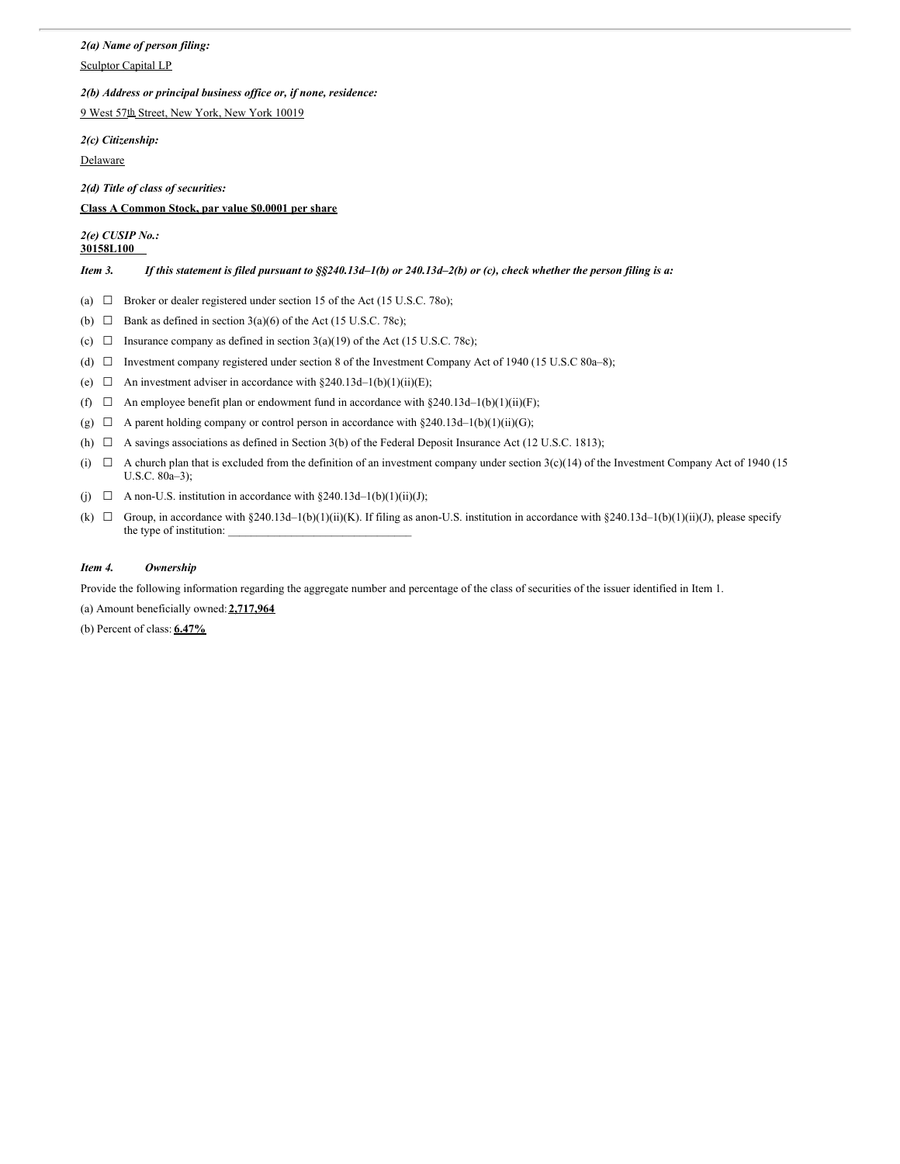## *2(a) Name of person filing:*

Sculptor Capital LP

## *2(b) Address or principal business of ice or, if none, residence:*

9 West 57th Street, New York, New York 10019

*2(c) Citizenship:*

Delaware

*2(d) Title of class of securities:*

## **Class A Common Stock, par value \$0.0001 per share**

## *2(e) CUSIP No.:* **30158L100**

Item 3. If this statement is filed pursuant to  $\S$ \$240.13d-1(b) or 240.13d-2(b) or (c), check whether the person filing is a:

(a)  $\Box$  Broker or dealer registered under section 15 of the Act (15 U.S.C. 78o);

- (b)  $\Box$  Bank as defined in section 3(a)(6) of the Act (15 U.S.C. 78c);
- (c)  $\Box$  Insurance company as defined in section 3(a)(19) of the Act (15 U.S.C. 78c);
- (d) ☐ Investment company registered under section 8 of the Investment Company Act of 1940 (15 U.S.C 80a–8);
- (e)  $\Box$  An investment adviser in accordance with §240.13d–1(b)(1)(ii)(E);
- (f)  $\Box$  An employee benefit plan or endowment fund in accordance with §240.13d–1(b)(1)(ii)(F);
- (g)  $\Box$  A parent holding company or control person in accordance with §240.13d–1(b)(1)(ii)(G);
- (h)  $\Box$  A savings associations as defined in Section 3(b) of the Federal Deposit Insurance Act (12 U.S.C. 1813);
- (i)  $\Box$  A church plan that is excluded from the definition of an investment company under section 3(c)(14) of the Investment Company Act of 1940 (15 U.S.C. 80a–3);
- (i)  $\Box$  A non-U.S. institution in accordance with §240.13d–1(b)(1)(ii)(J);
- (k)  $\Box$  Group, in accordance with §240.13d–1(b)(1)(ii)(K). If filing as anon-U.S. institution in accordance with §240.13d–1(b)(1)(ii)(J), please specify the type of institution:

## *Item 4. Ownership*

Provide the following information regarding the aggregate number and percentage of the class of securities of the issuer identified in Item 1.

(a) Amount beneficially owned: **2,717,964**

(b) Percent of class: **6.47%**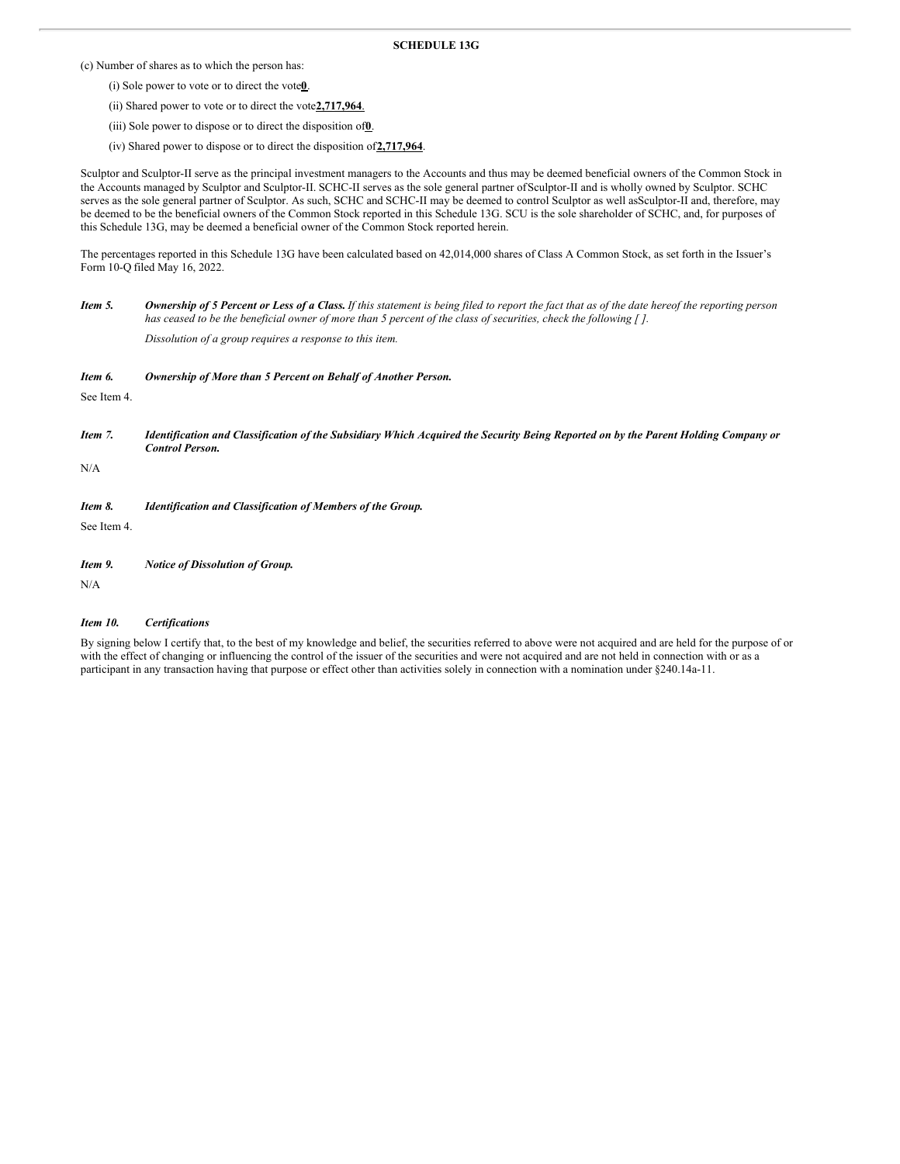## **SCHEDULE 13G**

(c) Number of shares as to which the person has:

- (i) Sole power to vote or to direct the vote**0**.
- (ii) Shared power to vote or to direct the vote**2,717,964**.
- (iii) Sole power to dispose or to direct the disposition of**0**.
- (iv) Shared power to dispose or to direct the disposition of**2,717,964**.

Sculptor and Sculptor-II serve as the principal investment managers to the Accounts and thus may be deemed beneficial owners of the Common Stock in the Accounts managed by Sculptor and Sculptor-II. SCHC-II serves as the sole general partner ofSculptor-II and is wholly owned by Sculptor. SCHC serves as the sole general partner of Sculptor. As such, SCHC and SCHC-II may be deemed to control Sculptor as well asSculptor-II and, therefore, may be deemed to be the beneficial owners of the Common Stock reported in this Schedule 13G. SCU is the sole shareholder of SCHC, and, for purposes of this Schedule 13G, may be deemed a beneficial owner of the Common Stock reported herein.

The percentages reported in this Schedule 13G have been calculated based on 42,014,000 shares of Class A Common Stock, as set forth in the Issuer's Form 10-Q filed May 16, 2022.

Item 5. Ownership of 5 Percent or Less of a Class. If this statement is being filed to report the fact that as of the date hereof the reporting person has ceased to be the beneficial owner of more than 5 percent of the class of securities, check the following  $\lceil \cdot \rceil$ .

*Dissolution of a group requires a response to this item.*

| Item 6. | Ownership of More than 5 Percent on Behalf of Another Person. |  |  |
|---------|---------------------------------------------------------------|--|--|
|         |                                                               |  |  |

See Item 4.

Item 7. Identification and Classification of the Subsidiary Which Acquired the Security Being Reported on by the Parent Holding Company or *Control Person.*

N/A

## *Item 8. Identification and Classification of Members of the Group.*

See Item 4.

*Item 9. Notice of Dissolution of Group.*

N/A

#### *Item 10. Certifications*

By signing below I certify that, to the best of my knowledge and belief, the securities referred to above were not acquired and are held for the purpose of or with the effect of changing or influencing the control of the issuer of the securities and were not acquired and are not held in connection with or as a participant in any transaction having that purpose or effect other than activities solely in connection with a nomination under §240.14a-11.